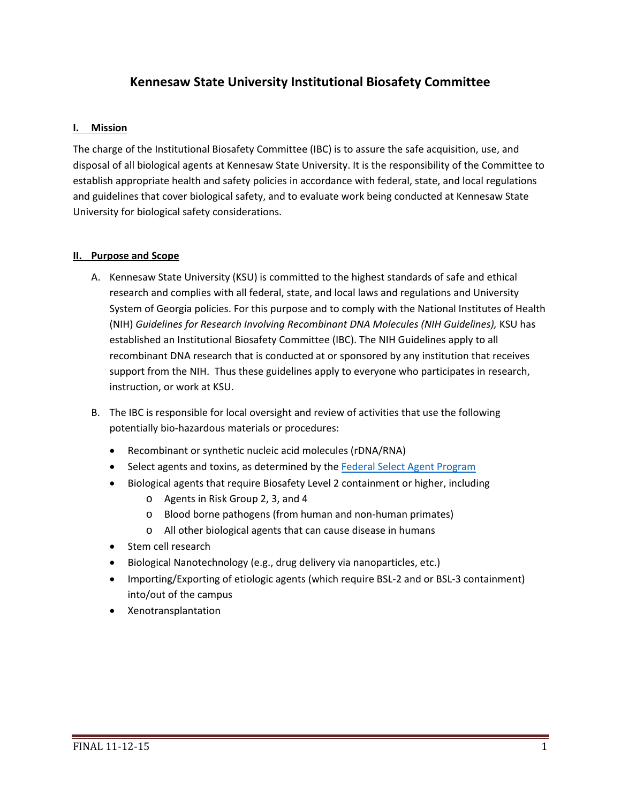# **Kennesaw State University Institutional Biosafety Committee**

### **I. Mission**

The charge of the Institutional Biosafety Committee (IBC) is to assure the safe acquisition, use, and disposal of all biological agents at Kennesaw State University. It is the responsibility of the Committee to establish appropriate health and safety policies in accordance with federal, state, and local regulations and guidelines that cover biological safety, and to evaluate work being conducted at Kennesaw State University for biological safety considerations.

### **II.** Purpose and Scope

- A. Kennesaw State University (KSU) is committed to the highest standards of safe and ethical research and complies with all federal, state, and local laws and regulations and University System of Georgia policies. For this purpose and to comply with the National Institutes of Health (NIH) *Guidelines for Research Involving Recombinant DNA Molecules (NIH Guidelines),* KSU has established an Institutional Biosafety Committee (IBC). The NIH Guidelines apply to all recombinant DNA research that is conducted at or sponsored by any institution that receives support from the NIH. Thus these guidelines apply to everyone who participates in research, instruction, or work at KSU.
- B. The IBC is responsible for local oversight and review of activities that use the following potentially bio‐hazardous materials or procedures:
	- Recombinant or synthetic nucleic acid molecules (rDNA/RNA)
	- Select agents and toxins, as determined by the Federal Select Agent Program
	- Biological agents that require Biosafety Level 2 containment or higher, including
		- o Agents in Risk Group 2, 3, and 4
		- o Blood borne pathogens (from human and non‐human primates)
		- o All other biological agents that can cause disease in humans
	- Stem cell research
	- Biological Nanotechnology (e.g., drug delivery via nanoparticles, etc.)
	- Importing/Exporting of etiologic agents (which require BSL-2 and or BSL-3 containment) into/out of the campus
	- Xenotransplantation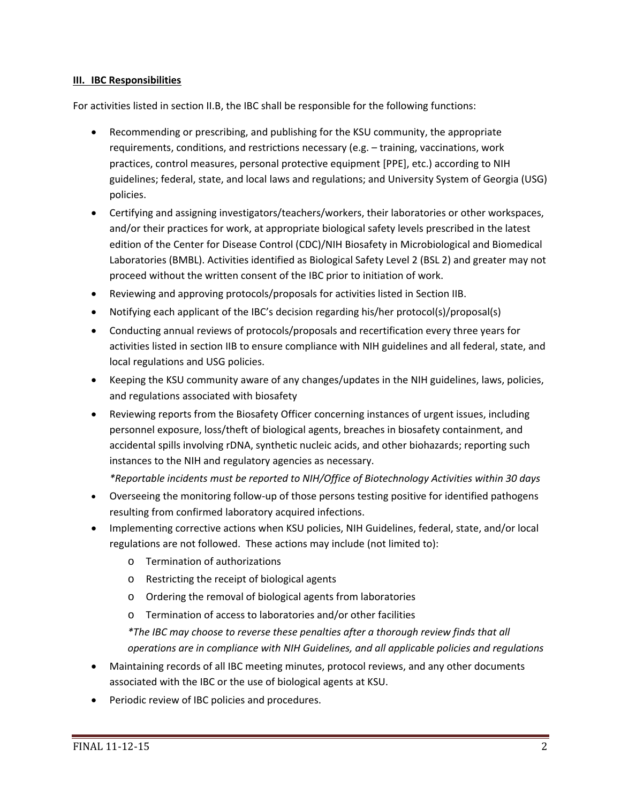### **III. IBC Responsibilities**

For activities listed in section II.B, the IBC shall be responsible for the following functions:

- Recommending or prescribing, and publishing for the KSU community, the appropriate requirements, conditions, and restrictions necessary (e.g. – training, vaccinations, work practices, control measures, personal protective equipment [PPE], etc.) according to NIH guidelines; federal, state, and local laws and regulations; and University System of Georgia (USG) policies.
- Certifying and assigning investigators/teachers/workers, their laboratories or other workspaces, and/or their practices for work, at appropriate biological safety levels prescribed in the latest edition of the Center for Disease Control (CDC)/NIH Biosafety in Microbiological and Biomedical Laboratories (BMBL). Activities identified as Biological Safety Level 2 (BSL 2) and greater may not proceed without the written consent of the IBC prior to initiation of work.
- Reviewing and approving protocols/proposals for activities listed in Section IIB.
- Notifying each applicant of the IBC's decision regarding his/her protocol(s)/proposal(s)
- Conducting annual reviews of protocols/proposals and recertification every three years for activities listed in section IIB to ensure compliance with NIH guidelines and all federal, state, and local regulations and USG policies.
- Keeping the KSU community aware of any changes/updates in the NIH guidelines, laws, policies, and regulations associated with biosafety
- Reviewing reports from the Biosafety Officer concerning instances of urgent issues, including personnel exposure, loss/theft of biological agents, breaches in biosafety containment, and accidental spills involving rDNA, synthetic nucleic acids, and other biohazards; reporting such instances to the NIH and regulatory agencies as necessary.

*\*Reportable incidents must be reported to NIH/Office of Biotechnology Activities within 30 days*

- Overseeing the monitoring follow-up of those persons testing positive for identified pathogens resulting from confirmed laboratory acquired infections.
- Implementing corrective actions when KSU policies, NIH Guidelines, federal, state, and/or local regulations are not followed. These actions may include (not limited to):
	- o Termination of authorizations
	- o Restricting the receipt of biological agents
	- o Ordering the removal of biological agents from laboratories
	- o Termination of access to laboratories and/or other facilities

*\*The IBC may choose to reverse these penalties after a thorough review finds that all operations are in compliance with NIH Guidelines, and all applicable policies and regulations*

- Maintaining records of all IBC meeting minutes, protocol reviews, and any other documents associated with the IBC or the use of biological agents at KSU.
- Periodic review of IBC policies and procedures.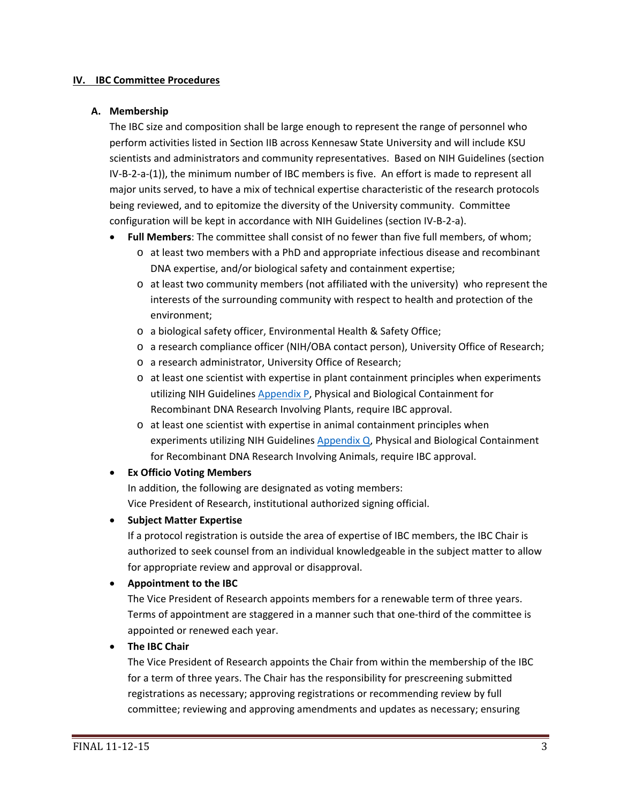#### **IV. IBC Committee Procedures**

#### **A. Membership**

The IBC size and composition shall be large enough to represent the range of personnel who perform activities listed in Section IIB across Kennesaw State University and will include KSU scientists and administrators and community representatives. Based on NIH Guidelines (section IV-B-2-a-(1)), the minimum number of IBC members is five. An effort is made to represent all major units served, to have a mix of technical expertise characteristic of the research protocols being reviewed, and to epitomize the diversity of the University community. Committee configuration will be kept in accordance with NIH Guidelines (section IV‐B‐2‐a).

- **Full Members**: The committee shall consist of no fewer than five full members, of whom;
	- o at least two members with a PhD and appropriate infectious disease and recombinant DNA expertise, and/or biological safety and containment expertise;
	- o at least two community members (not affiliated with the university) who represent the interests of the surrounding community with respect to health and protection of the environment;
	- o a biological safety officer, Environmental Health & Safety Office;
	- o a research compliance officer (NIH/OBA contact person), University Office of Research;
	- o a research administrator, University Office of Research;
	- o at least one scientist with expertise in plant containment principles when experiments utilizing NIH Guidelines Appendix P, Physical and Biological Containment for Recombinant DNA Research Involving Plants, require IBC approval.
	- o at least one scientist with expertise in animal containment principles when experiments utilizing NIH Guidelines Appendix Q, Physical and Biological Containment for Recombinant DNA Research Involving Animals, require IBC approval.

### **Ex Officio Voting Members**

In addition, the following are designated as voting members: Vice President of Research, institutional authorized signing official.

**Subject Matter Expertise**

If a protocol registration is outside the area of expertise of IBC members, the IBC Chair is authorized to seek counsel from an individual knowledgeable in the subject matter to allow for appropriate review and approval or disapproval.

### **Appointment to the IBC**

The Vice President of Research appoints members for a renewable term of three years. Terms of appointment are staggered in a manner such that one‐third of the committee is appointed or renewed each year.

**The IBC Chair**

The Vice President of Research appoints the Chair from within the membership of the IBC for a term of three years. The Chair has the responsibility for prescreening submitted registrations as necessary; approving registrations or recommending review by full committee; reviewing and approving amendments and updates as necessary; ensuring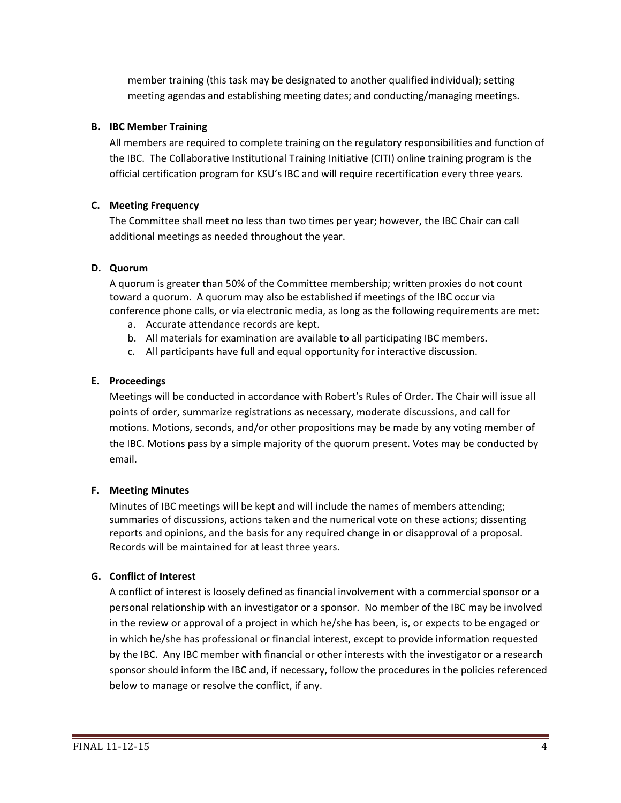member training (this task may be designated to another qualified individual); setting meeting agendas and establishing meeting dates; and conducting/managing meetings.

# **B. IBC Member Training**

All members are required to complete training on the regulatory responsibilities and function of the IBC. The Collaborative Institutional Training Initiative (CITI) online training program is the official certification program for KSU's IBC and will require recertification every three years.

# **C. Meeting Frequency**

The Committee shall meet no less than two times per year; however, the IBC Chair can call additional meetings as needed throughout the year.

# **D. Quorum**

A quorum is greater than 50% of the Committee membership; written proxies do not count toward a quorum. A quorum may also be established if meetings of the IBC occur via conference phone calls, or via electronic media, as long as the following requirements are met:

- a. Accurate attendance records are kept.
- b. All materials for examination are available to all participating IBC members.
- c. All participants have full and equal opportunity for interactive discussion.

# **E. Proceedings**

Meetings will be conducted in accordance with Robert's Rules of Order. The Chair will issue all points of order, summarize registrations as necessary, moderate discussions, and call for motions. Motions, seconds, and/or other propositions may be made by any voting member of the IBC. Motions pass by a simple majority of the quorum present. Votes may be conducted by email.

## **F. Meeting Minutes**

Minutes of IBC meetings will be kept and will include the names of members attending; summaries of discussions, actions taken and the numerical vote on these actions; dissenting reports and opinions, and the basis for any required change in or disapproval of a proposal. Records will be maintained for at least three years.

## **G. Conflict of Interest**

A conflict of interest is loosely defined as financial involvement with a commercial sponsor or a personal relationship with an investigator or a sponsor. No member of the IBC may be involved in the review or approval of a project in which he/she has been, is, or expects to be engaged or in which he/she has professional or financial interest, except to provide information requested by the IBC. Any IBC member with financial or other interests with the investigator or a research sponsor should inform the IBC and, if necessary, follow the procedures in the policies referenced below to manage or resolve the conflict, if any.